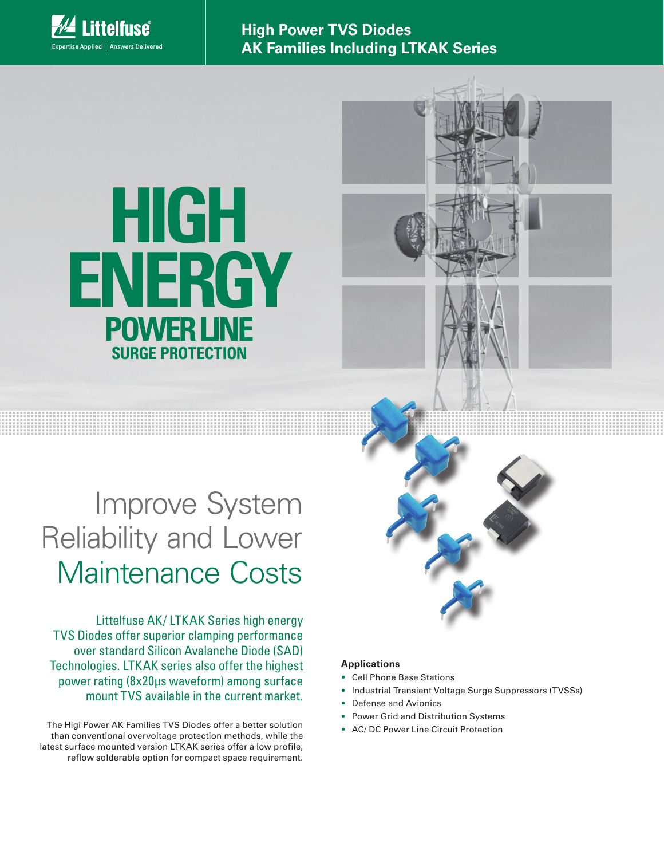

**High Power TVS Diodes AK Families Including LTKAK Series**

# **POWER LINE SURGE PROTECTION HIGH ENERGY**

## Improve System Reliability and Lower Maintenance Costs

Littelfuse AK/ LTKAK Series high energy TVS Diodes offer superior clamping performance over standard Silicon Avalanche Diode (SAD) Technologies. LTKAK series also offer the highest power rating (8x20μs waveform) among surface mount TVS available in the current market.

The Higi Power AK Families TVS Diodes offer a better solution than conventional overvoltage protection methods, while the latest surface mounted version LTKAK series offer a low profile, reflow solderable option for compact space requirement.

### **Applications**

- Cell Phone Base Stations
- Industrial Transient Voltage Surge Suppressors (TVSSs)
- Defense and Avionics
- Power Grid and Distribution Systems
- AC/ DC Power Line Circuit Protection